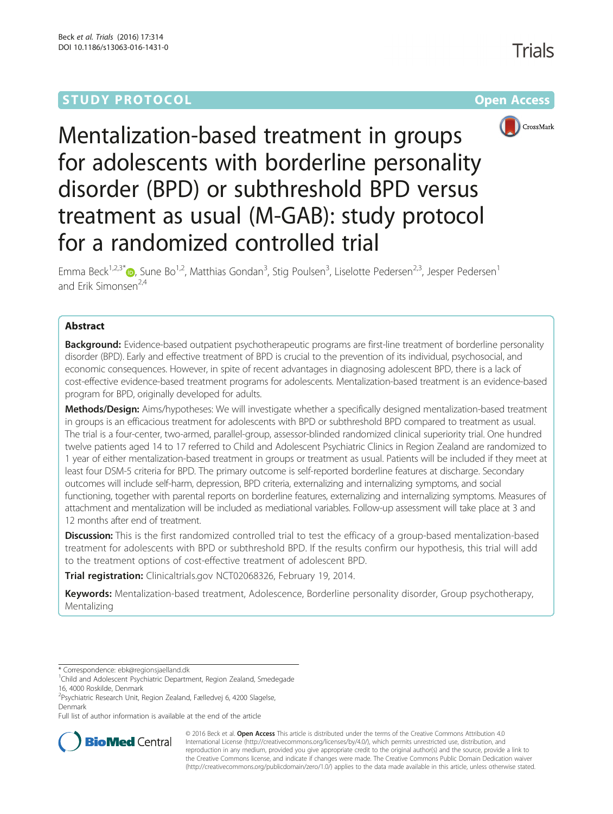# **STUDY PROTOCOL CONSUMING THE RESERVE ACCESS**





Mentalization-based treatment in groups for adolescents with borderline personality disorder (BPD) or subthreshold BPD versus treatment as usual (M-GAB): study protocol for a randomized controlled trial

Emma Beck<sup>1,2,3[\\*](http://orcid.org/0000-0002-4711-5417)</sup> (D, Sune Bo<sup>1,2</sup>, Matthias Gondan<sup>3</sup>, Stig Poulsen<sup>3</sup>, Liselotte Pedersen<sup>2,3</sup>, Jesper Pedersen<sup>1</sup> and Frik Simonsen<sup>2,4</sup>

# Abstract

**Background:** Evidence-based outpatient psychotherapeutic programs are first-line treatment of borderline personality disorder (BPD). Early and effective treatment of BPD is crucial to the prevention of its individual, psychosocial, and economic consequences. However, in spite of recent advantages in diagnosing adolescent BPD, there is a lack of cost-effective evidence-based treatment programs for adolescents. Mentalization-based treatment is an evidence-based program for BPD, originally developed for adults.

Methods/Design: Aims/hypotheses: We will investigate whether a specifically designed mentalization-based treatment in groups is an efficacious treatment for adolescents with BPD or subthreshold BPD compared to treatment as usual. The trial is a four-center, two-armed, parallel-group, assessor-blinded randomized clinical superiority trial. One hundred twelve patients aged 14 to 17 referred to Child and Adolescent Psychiatric Clinics in Region Zealand are randomized to 1 year of either mentalization-based treatment in groups or treatment as usual. Patients will be included if they meet at least four DSM-5 criteria for BPD. The primary outcome is self-reported borderline features at discharge. Secondary outcomes will include self-harm, depression, BPD criteria, externalizing and internalizing symptoms, and social functioning, together with parental reports on borderline features, externalizing and internalizing symptoms. Measures of attachment and mentalization will be included as mediational variables. Follow-up assessment will take place at 3 and 12 months after end of treatment.

**Discussion:** This is the first randomized controlled trial to test the efficacy of a group-based mentalization-based treatment for adolescents with BPD or subthreshold BPD. If the results confirm our hypothesis, this trial will add to the treatment options of cost-effective treatment of adolescent BPD.

Trial registration: Clinicaltrials.gov [NCT02068326,](https://clinicaltrials.gov/ct2/show/NCT02068326) February 19, 2014.

Keywords: Mentalization-based treatment, Adolescence, Borderline personality disorder, Group psychotherapy, Mentalizing

Full list of author information is available at the end of the article



© 2016 Beck et al. Open Access This article is distributed under the terms of the Creative Commons Attribution 4.0 International License [\(http://creativecommons.org/licenses/by/4.0/](http://creativecommons.org/licenses/by/4.0/)), which permits unrestricted use, distribution, and reproduction in any medium, provided you give appropriate credit to the original author(s) and the source, provide a link to the Creative Commons license, and indicate if changes were made. The Creative Commons Public Domain Dedication waiver [\(http://creativecommons.org/publicdomain/zero/1.0/](http://creativecommons.org/publicdomain/zero/1.0/)) applies to the data made available in this article, unless otherwise stated.

<sup>\*</sup> Correspondence: [ebk@regionsjaelland.dk](mailto:ebk@regionsjaelland.dk) <sup>1</sup>

<sup>&</sup>lt;sup>1</sup>Child and Adolescent Psychiatric Department, Region Zealand, Smedegade 16, 4000 Roskilde, Denmark

<sup>&</sup>lt;sup>2</sup>Psychiatric Research Unit, Region Zealand, Fælledvej 6, 4200 Slagelse, Denmark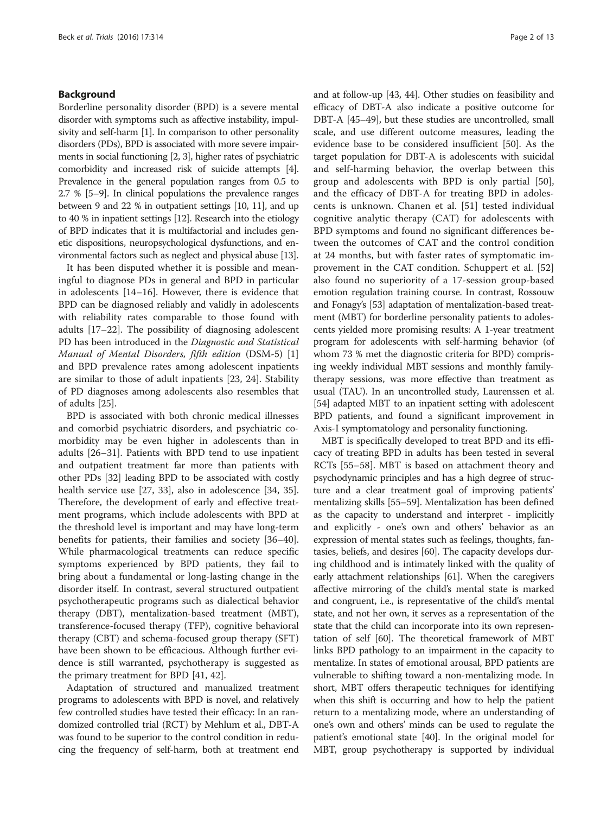## Background

Borderline personality disorder (BPD) is a severe mental disorder with symptoms such as affective instability, impulsivity and self-harm [\[1\]](#page-10-0). In comparison to other personality disorders (PDs), BPD is associated with more severe impairments in social functioning [\[2, 3](#page-10-0)], higher rates of psychiatric comorbidity and increased risk of suicide attempts [[4](#page-10-0)]. Prevalence in the general population ranges from 0.5 to 2.7 % [[5](#page-10-0)–[9\]](#page-10-0). In clinical populations the prevalence ranges between 9 and 22 % in outpatient settings [\[10, 11](#page-10-0)], and up to 40 % in inpatient settings [\[12](#page-10-0)]. Research into the etiology of BPD indicates that it is multifactorial and includes genetic dispositions, neuropsychological dysfunctions, and environmental factors such as neglect and physical abuse [[13](#page-10-0)].

It has been disputed whether it is possible and meaningful to diagnose PDs in general and BPD in particular in adolescents [[14](#page-10-0)–[16](#page-10-0)]. However, there is evidence that BPD can be diagnosed reliably and validly in adolescents with reliability rates comparable to those found with adults [\[17](#page-10-0)–[22\]](#page-10-0). The possibility of diagnosing adolescent PD has been introduced in the Diagnostic and Statistical Manual of Mental Disorders, fifth edition (DSM-5) [\[1](#page-10-0)] and BPD prevalence rates among adolescent inpatients are similar to those of adult inpatients [\[23](#page-10-0), [24\]](#page-10-0). Stability of PD diagnoses among adolescents also resembles that of adults [\[25](#page-10-0)].

BPD is associated with both chronic medical illnesses and comorbid psychiatric disorders, and psychiatric comorbidity may be even higher in adolescents than in adults [\[26](#page-10-0)–[31\]](#page-10-0). Patients with BPD tend to use inpatient and outpatient treatment far more than patients with other PDs [[32\]](#page-10-0) leading BPD to be associated with costly health service use [[27, 33\]](#page-10-0), also in adolescence [[34](#page-10-0), [35](#page-10-0)]. Therefore, the development of early and effective treatment programs, which include adolescents with BPD at the threshold level is important and may have long-term benefits for patients, their families and society [[36](#page-10-0)–[40](#page-10-0)]. While pharmacological treatments can reduce specific symptoms experienced by BPD patients, they fail to bring about a fundamental or long-lasting change in the disorder itself. In contrast, several structured outpatient psychotherapeutic programs such as dialectical behavior therapy (DBT), mentalization-based treatment (MBT), transference-focused therapy (TFP), cognitive behavioral therapy (CBT) and schema-focused group therapy (SFT) have been shown to be efficacious. Although further evidence is still warranted, psychotherapy is suggested as the primary treatment for BPD [[41, 42](#page-11-0)].

Adaptation of structured and manualized treatment programs to adolescents with BPD is novel, and relatively few controlled studies have tested their efficacy: In an randomized controlled trial (RCT) by Mehlum et al., DBT-A was found to be superior to the control condition in reducing the frequency of self-harm, both at treatment end and at follow-up [\[43, 44\]](#page-11-0). Other studies on feasibility and efficacy of DBT-A also indicate a positive outcome for DBT-A [\[45](#page-11-0)–[49](#page-11-0)], but these studies are uncontrolled, small scale, and use different outcome measures, leading the evidence base to be considered insufficient [[50](#page-11-0)]. As the target population for DBT-A is adolescents with suicidal and self-harming behavior, the overlap between this group and adolescents with BPD is only partial [\[50](#page-11-0)], and the efficacy of DBT-A for treating BPD in adolescents is unknown. Chanen et al. [\[51](#page-11-0)] tested individual cognitive analytic therapy (CAT) for adolescents with BPD symptoms and found no significant differences between the outcomes of CAT and the control condition at 24 months, but with faster rates of symptomatic improvement in the CAT condition. Schuppert et al. [\[52](#page-11-0)] also found no superiority of a 17-session group-based emotion regulation training course. In contrast, Rossouw and Fonagy's [\[53\]](#page-11-0) adaptation of mentalization-based treatment (MBT) for borderline personality patients to adolescents yielded more promising results: A 1-year treatment program for adolescents with self-harming behavior (of whom 73 % met the diagnostic criteria for BPD) comprising weekly individual MBT sessions and monthly familytherapy sessions, was more effective than treatment as usual (TAU). In an uncontrolled study, Laurenssen et al. [[54](#page-11-0)] adapted MBT to an inpatient setting with adolescent BPD patients, and found a significant improvement in Axis-I symptomatology and personality functioning.

MBT is specifically developed to treat BPD and its efficacy of treating BPD in adults has been tested in several RCTs [[55](#page-11-0)–[58](#page-11-0)]. MBT is based on attachment theory and psychodynamic principles and has a high degree of structure and a clear treatment goal of improving patients' mentalizing skills [[55](#page-11-0)–[59\]](#page-11-0). Mentalization has been defined as the capacity to understand and interpret - implicitly and explicitly - one's own and others' behavior as an expression of mental states such as feelings, thoughts, fantasies, beliefs, and desires [\[60\]](#page-11-0). The capacity develops during childhood and is intimately linked with the quality of early attachment relationships [[61](#page-11-0)]. When the caregivers affective mirroring of the child's mental state is marked and congruent, i.e., is representative of the child's mental state, and not her own, it serves as a representation of the state that the child can incorporate into its own representation of self [[60](#page-11-0)]. The theoretical framework of MBT links BPD pathology to an impairment in the capacity to mentalize. In states of emotional arousal, BPD patients are vulnerable to shifting toward a non-mentalizing mode. In short, MBT offers therapeutic techniques for identifying when this shift is occurring and how to help the patient return to a mentalizing mode, where an understanding of one's own and others' minds can be used to regulate the patient's emotional state [[40](#page-10-0)]. In the original model for MBT, group psychotherapy is supported by individual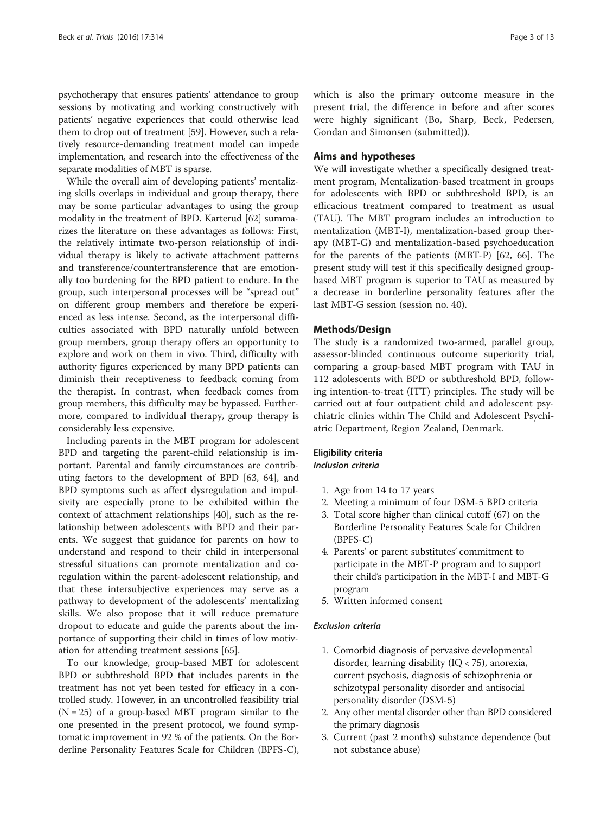psychotherapy that ensures patients' attendance to group sessions by motivating and working constructively with patients' negative experiences that could otherwise lead them to drop out of treatment [[59](#page-11-0)]. However, such a relatively resource-demanding treatment model can impede implementation, and research into the effectiveness of the separate modalities of MBT is sparse.

While the overall aim of developing patients' mentalizing skills overlaps in individual and group therapy, there may be some particular advantages to using the group modality in the treatment of BPD. Karterud [\[62](#page-11-0)] summarizes the literature on these advantages as follows: First, the relatively intimate two-person relationship of individual therapy is likely to activate attachment patterns and transference/countertransference that are emotionally too burdening for the BPD patient to endure. In the group, such interpersonal processes will be "spread out" on different group members and therefore be experienced as less intense. Second, as the interpersonal difficulties associated with BPD naturally unfold between group members, group therapy offers an opportunity to explore and work on them in vivo. Third, difficulty with authority figures experienced by many BPD patients can diminish their receptiveness to feedback coming from the therapist. In contrast, when feedback comes from group members, this difficulty may be bypassed. Furthermore, compared to individual therapy, group therapy is considerably less expensive.

Including parents in the MBT program for adolescent BPD and targeting the parent-child relationship is important. Parental and family circumstances are contributing factors to the development of BPD [[63](#page-11-0), [64\]](#page-11-0), and BPD symptoms such as affect dysregulation and impulsivity are especially prone to be exhibited within the context of attachment relationships [\[40\]](#page-10-0), such as the relationship between adolescents with BPD and their parents. We suggest that guidance for parents on how to understand and respond to their child in interpersonal stressful situations can promote mentalization and coregulation within the parent-adolescent relationship, and that these intersubjective experiences may serve as a pathway to development of the adolescents' mentalizing skills. We also propose that it will reduce premature dropout to educate and guide the parents about the importance of supporting their child in times of low motivation for attending treatment sessions [\[65\]](#page-11-0).

To our knowledge, group-based MBT for adolescent BPD or subthreshold BPD that includes parents in the treatment has not yet been tested for efficacy in a controlled study. However, in an uncontrolled feasibility trial  $(N = 25)$  of a group-based MBT program similar to the one presented in the present protocol, we found symptomatic improvement in 92 % of the patients. On the Borderline Personality Features Scale for Children (BPFS-C), which is also the primary outcome measure in the present trial, the difference in before and after scores were highly significant (Bo, Sharp, Beck, Pedersen, Gondan and Simonsen (submitted)).

## Aims and hypotheses

We will investigate whether a specifically designed treatment program, Mentalization-based treatment in groups for adolescents with BPD or subthreshold BPD, is an efficacious treatment compared to treatment as usual (TAU). The MBT program includes an introduction to mentalization (MBT-I), mentalization-based group therapy (MBT-G) and mentalization-based psychoeducation for the parents of the patients (MBT-P) [[62](#page-11-0), [66](#page-11-0)]. The present study will test if this specifically designed groupbased MBT program is superior to TAU as measured by a decrease in borderline personality features after the last MBT-G session (session no. 40).

## Methods/Design

The study is a randomized two-armed, parallel group, assessor-blinded continuous outcome superiority trial, comparing a group-based MBT program with TAU in 112 adolescents with BPD or subthreshold BPD, following intention-to-treat (ITT) principles. The study will be carried out at four outpatient child and adolescent psychiatric clinics within The Child and Adolescent Psychiatric Department, Region Zealand, Denmark.

## Eligibility criteria Inclusion criteria

- 1. Age from 14 to 17 years
- 2. Meeting a minimum of four DSM-5 BPD criteria
- 3. Total score higher than clinical cutoff (67) on the Borderline Personality Features Scale for Children (BPFS-C)
- 4. Parents' or parent substitutes' commitment to participate in the MBT-P program and to support their child's participation in the MBT-I and MBT-G program
- 5. Written informed consent

#### Exclusion criteria

- 1. Comorbid diagnosis of pervasive developmental disorder, learning disability ( $IQ$  < 75), anorexia, current psychosis, diagnosis of schizophrenia or schizotypal personality disorder and antisocial personality disorder (DSM-5)
- 2. Any other mental disorder other than BPD considered the primary diagnosis
- 3. Current (past 2 months) substance dependence (but not substance abuse)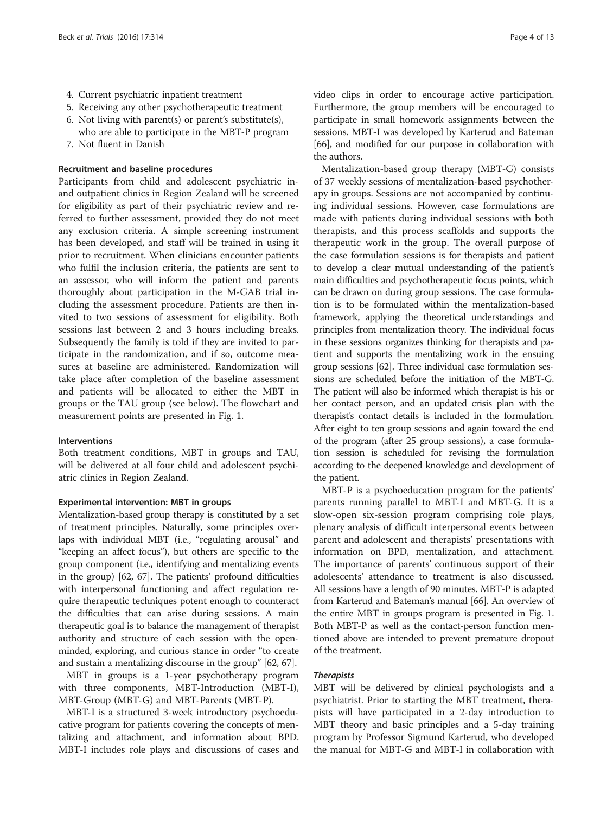- 4. Current psychiatric inpatient treatment
- 5. Receiving any other psychotherapeutic treatment
- 6. Not living with parent(s) or parent's substitute(s),
- who are able to participate in the MBT-P program
- 7. Not fluent in Danish

# Recruitment and baseline procedures

Participants from child and adolescent psychiatric inand outpatient clinics in Region Zealand will be screened for eligibility as part of their psychiatric review and referred to further assessment, provided they do not meet any exclusion criteria. A simple screening instrument has been developed, and staff will be trained in using it prior to recruitment. When clinicians encounter patients who fulfil the inclusion criteria, the patients are sent to an assessor, who will inform the patient and parents thoroughly about participation in the M-GAB trial including the assessment procedure. Patients are then invited to two sessions of assessment for eligibility. Both sessions last between 2 and 3 hours including breaks. Subsequently the family is told if they are invited to participate in the randomization, and if so, outcome measures at baseline are administered. Randomization will take place after completion of the baseline assessment and patients will be allocated to either the MBT in groups or the TAU group (see below). The flowchart and measurement points are presented in Fig. [1.](#page-4-0)

## Interventions

Both treatment conditions, MBT in groups and TAU, will be delivered at all four child and adolescent psychiatric clinics in Region Zealand.

#### Experimental intervention: MBT in groups

Mentalization-based group therapy is constituted by a set of treatment principles. Naturally, some principles overlaps with individual MBT (i.e., "regulating arousal" and "keeping an affect focus"), but others are specific to the group component (i.e., identifying and mentalizing events in the group) [\[62, 67\]](#page-11-0). The patients' profound difficulties with interpersonal functioning and affect regulation require therapeutic techniques potent enough to counteract the difficulties that can arise during sessions. A main therapeutic goal is to balance the management of therapist authority and structure of each session with the openminded, exploring, and curious stance in order "to create and sustain a mentalizing discourse in the group" [\[62](#page-11-0), [67](#page-11-0)].

MBT in groups is a 1-year psychotherapy program with three components, MBT-Introduction (MBT-I), MBT-Group (MBT-G) and MBT-Parents (MBT-P).

MBT-I is a structured 3-week introductory psychoeducative program for patients covering the concepts of mentalizing and attachment, and information about BPD. MBT-I includes role plays and discussions of cases and video clips in order to encourage active participation. Furthermore, the group members will be encouraged to participate in small homework assignments between the sessions. MBT-I was developed by Karterud and Bateman [[66](#page-11-0)], and modified for our purpose in collaboration with the authors.

Mentalization-based group therapy (MBT-G) consists of 37 weekly sessions of mentalization-based psychotherapy in groups. Sessions are not accompanied by continuing individual sessions. However, case formulations are made with patients during individual sessions with both therapists, and this process scaffolds and supports the therapeutic work in the group. The overall purpose of the case formulation sessions is for therapists and patient to develop a clear mutual understanding of the patient's main difficulties and psychotherapeutic focus points, which can be drawn on during group sessions. The case formulation is to be formulated within the mentalization-based framework, applying the theoretical understandings and principles from mentalization theory. The individual focus in these sessions organizes thinking for therapists and patient and supports the mentalizing work in the ensuing group sessions [\[62\]](#page-11-0). Three individual case formulation sessions are scheduled before the initiation of the MBT-G. The patient will also be informed which therapist is his or her contact person, and an updated crisis plan with the therapist's contact details is included in the formulation. After eight to ten group sessions and again toward the end of the program (after 25 group sessions), a case formulation session is scheduled for revising the formulation according to the deepened knowledge and development of the patient.

MBT-P is a psychoeducation program for the patients' parents running parallel to MBT-I and MBT-G. It is a slow-open six-session program comprising role plays, plenary analysis of difficult interpersonal events between parent and adolescent and therapists' presentations with information on BPD, mentalization, and attachment. The importance of parents' continuous support of their adolescents' attendance to treatment is also discussed. All sessions have a length of 90 minutes. MBT-P is adapted from Karterud and Bateman's manual [\[66\]](#page-11-0). An overview of the entire MBT in groups program is presented in Fig. [1](#page-4-0). Both MBT-P as well as the contact-person function mentioned above are intended to prevent premature dropout of the treatment.

### **Therapists**

MBT will be delivered by clinical psychologists and a psychiatrist. Prior to starting the MBT treatment, therapists will have participated in a 2-day introduction to MBT theory and basic principles and a 5-day training program by Professor Sigmund Karterud, who developed the manual for MBT-G and MBT-I in collaboration with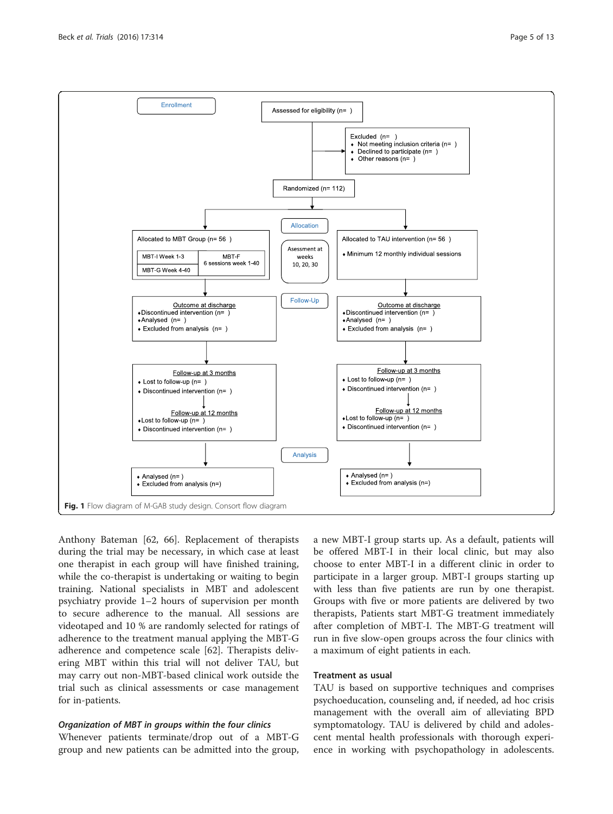<span id="page-4-0"></span>

Anthony Bateman [\[62, 66](#page-11-0)]. Replacement of therapists during the trial may be necessary, in which case at least one therapist in each group will have finished training, while the co-therapist is undertaking or waiting to begin training. National specialists in MBT and adolescent psychiatry provide 1–2 hours of supervision per month to secure adherence to the manual. All sessions are videotaped and 10 % are randomly selected for ratings of adherence to the treatment manual applying the MBT-G adherence and competence scale [[62](#page-11-0)]. Therapists delivering MBT within this trial will not deliver TAU, but may carry out non-MBT-based clinical work outside the trial such as clinical assessments or case management for in-patients.

## Organization of MBT in groups within the four clinics

Whenever patients terminate/drop out of a MBT-G group and new patients can be admitted into the group,

a new MBT-I group starts up. As a default, patients will be offered MBT-I in their local clinic, but may also choose to enter MBT-I in a different clinic in order to participate in a larger group. MBT-I groups starting up with less than five patients are run by one therapist. Groups with five or more patients are delivered by two therapists, Patients start MBT-G treatment immediately after completion of MBT-I. The MBT-G treatment will run in five slow-open groups across the four clinics with a maximum of eight patients in each.

### Treatment as usual

TAU is based on supportive techniques and comprises psychoeducation, counseling and, if needed, ad hoc crisis management with the overall aim of alleviating BPD symptomatology. TAU is delivered by child and adolescent mental health professionals with thorough experience in working with psychopathology in adolescents.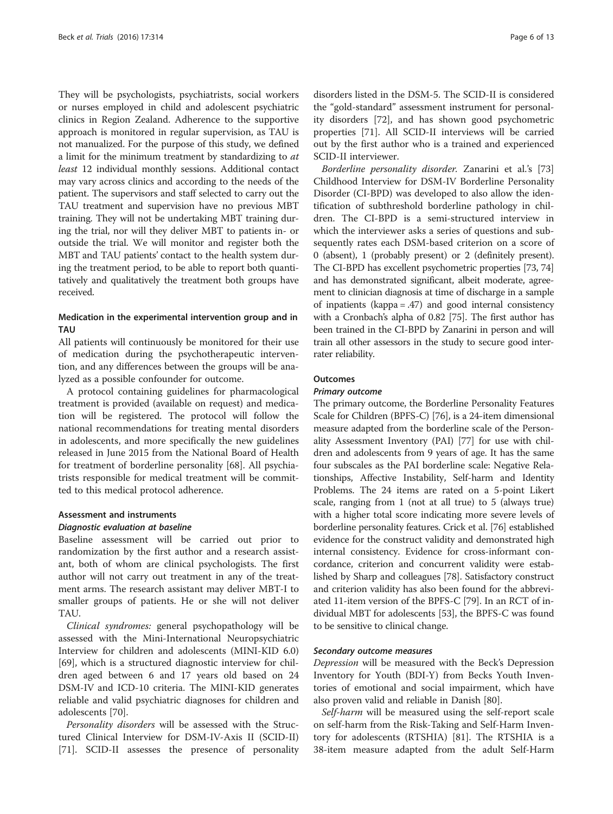They will be psychologists, psychiatrists, social workers or nurses employed in child and adolescent psychiatric clinics in Region Zealand. Adherence to the supportive approach is monitored in regular supervision, as TAU is not manualized. For the purpose of this study, we defined a limit for the minimum treatment by standardizing to at least 12 individual monthly sessions. Additional contact may vary across clinics and according to the needs of the patient. The supervisors and staff selected to carry out the TAU treatment and supervision have no previous MBT training. They will not be undertaking MBT training during the trial, nor will they deliver MBT to patients in- or outside the trial. We will monitor and register both the MBT and TAU patients' contact to the health system during the treatment period, to be able to report both quantitatively and qualitatively the treatment both groups have received.

# Medication in the experimental intervention group and in TAU

All patients will continuously be monitored for their use of medication during the psychotherapeutic intervention, and any differences between the groups will be analyzed as a possible confounder for outcome.

A protocol containing guidelines for pharmacological treatment is provided (available on request) and medication will be registered. The protocol will follow the national recommendations for treating mental disorders in adolescents, and more specifically the new guidelines released in June 2015 from the National Board of Health for treatment of borderline personality [\[68\]](#page-11-0). All psychiatrists responsible for medical treatment will be committed to this medical protocol adherence.

#### Assessment and instruments

## Diagnostic evaluation at baseline

Baseline assessment will be carried out prior to randomization by the first author and a research assistant, both of whom are clinical psychologists. The first author will not carry out treatment in any of the treatment arms. The research assistant may deliver MBT-I to smaller groups of patients. He or she will not deliver TAU.

Clinical syndromes: general psychopathology will be assessed with the Mini-International Neuropsychiatric Interview for children and adolescents (MINI-KID 6.0) [[69\]](#page-11-0), which is a structured diagnostic interview for children aged between 6 and 17 years old based on 24 DSM-IV and ICD-10 criteria. The MINI-KID generates reliable and valid psychiatric diagnoses for children and adolescents [[70](#page-11-0)].

Personality disorders will be assessed with the Structured Clinical Interview for DSM-IV-Axis II (SCID-II) [[71\]](#page-11-0). SCID-II assesses the presence of personality

disorders listed in the DSM-5. The SCID-II is considered the "gold-standard" assessment instrument for personality disorders [\[72](#page-11-0)], and has shown good psychometric properties [\[71](#page-11-0)]. All SCID-II interviews will be carried out by the first author who is a trained and experienced SCID-II interviewer.

Borderline personality disorder. Zanarini et al.'s [[73](#page-11-0)] Childhood Interview for DSM-IV Borderline Personality Disorder (CI-BPD) was developed to also allow the identification of subthreshold borderline pathology in children. The CI-BPD is a semi-structured interview in which the interviewer asks a series of questions and subsequently rates each DSM-based criterion on a score of 0 (absent), 1 (probably present) or 2 (definitely present). The CI-BPD has excellent psychometric properties [[73](#page-11-0), [74](#page-11-0)] and has demonstrated significant, albeit moderate, agreement to clinician diagnosis at time of discharge in a sample of inpatients (kappa = .47) and good internal consistency with a Cronbach's alpha of 0.82 [\[75\]](#page-11-0). The first author has been trained in the CI-BPD by Zanarini in person and will train all other assessors in the study to secure good interrater reliability.

### **Outcomes**

## Primary outcome

The primary outcome, the Borderline Personality Features Scale for Children (BPFS-C) [\[76\]](#page-11-0), is a 24-item dimensional measure adapted from the borderline scale of the Personality Assessment Inventory (PAI) [\[77\]](#page-11-0) for use with children and adolescents from 9 years of age. It has the same four subscales as the PAI borderline scale: Negative Relationships, Affective Instability, Self-harm and Identity Problems. The 24 items are rated on a 5-point Likert scale, ranging from 1 (not at all true) to 5 (always true) with a higher total score indicating more severe levels of borderline personality features. Crick et al. [[76](#page-11-0)] established evidence for the construct validity and demonstrated high internal consistency. Evidence for cross-informant concordance, criterion and concurrent validity were established by Sharp and colleagues [\[78\]](#page-11-0). Satisfactory construct and criterion validity has also been found for the abbreviated 11-item version of the BPFS-C [\[79\]](#page-11-0). In an RCT of individual MBT for adolescents [\[53\]](#page-11-0), the BPFS-C was found to be sensitive to clinical change.

## Secondary outcome measures

Depression will be measured with the Beck's Depression Inventory for Youth (BDI-Y) from Becks Youth Inventories of emotional and social impairment, which have also proven valid and reliable in Danish [\[80\]](#page-11-0).

Self-harm will be measured using the self-report scale on self-harm from the Risk-Taking and Self-Harm Inventory for adolescents (RTSHIA) [[81\]](#page-11-0). The RTSHIA is a 38-item measure adapted from the adult Self-Harm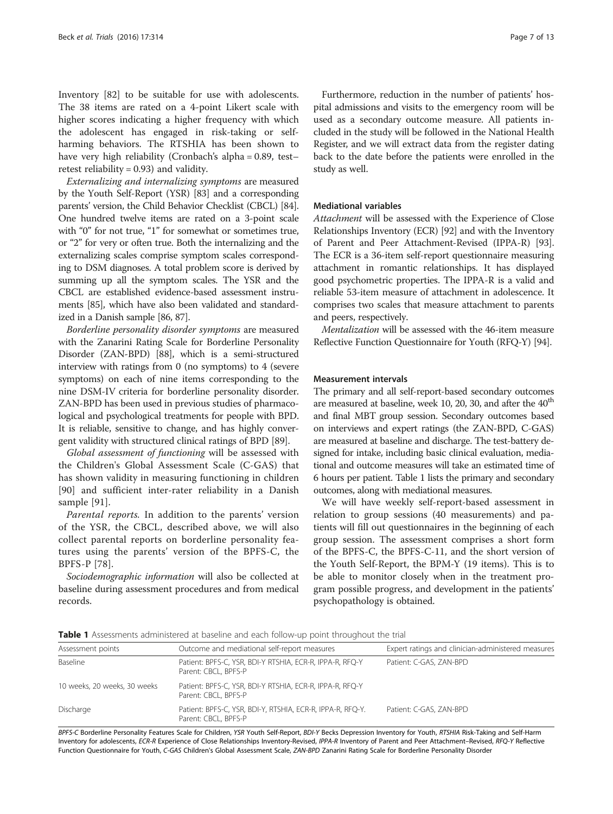Inventory [[82\]](#page-11-0) to be suitable for use with adolescents. The 38 items are rated on a 4-point Likert scale with higher scores indicating a higher frequency with which the adolescent has engaged in risk-taking or selfharming behaviors. The RTSHIA has been shown to have very high reliability (Cronbach's alpha = 0.89, test– retest reliability = 0.93) and validity.

Externalizing and internalizing symptoms are measured by the Youth Self-Report (YSR) [\[83\]](#page-11-0) and a corresponding parents' version, the Child Behavior Checklist (CBCL) [[84](#page-11-0)]. One hundred twelve items are rated on a 3-point scale with "0" for not true, "1" for somewhat or sometimes true, or "2" for very or often true. Both the internalizing and the externalizing scales comprise symptom scales corresponding to DSM diagnoses. A total problem score is derived by summing up all the symptom scales. The YSR and the CBCL are established evidence-based assessment instruments [[85](#page-11-0)], which have also been validated and standardized in a Danish sample [\[86, 87\]](#page-11-0).

Borderline personality disorder symptoms are measured with the Zanarini Rating Scale for Borderline Personality Disorder (ZAN-BPD) [[88](#page-12-0)], which is a semi-structured interview with ratings from 0 (no symptoms) to 4 (severe symptoms) on each of nine items corresponding to the nine DSM-IV criteria for borderline personality disorder. ZAN-BPD has been used in previous studies of pharmacological and psychological treatments for people with BPD. It is reliable, sensitive to change, and has highly convergent validity with structured clinical ratings of BPD [[89\]](#page-12-0).

Global assessment of functioning will be assessed with the Children's Global Assessment Scale (C-GAS) that has shown validity in measuring functioning in children [[90\]](#page-12-0) and sufficient inter-rater reliability in a Danish sample [[91\]](#page-12-0).

Parental reports. In addition to the parents' version of the YSR, the CBCL, described above, we will also collect parental reports on borderline personality features using the parents' version of the BPFS-C, the BPFS-P [[78\]](#page-11-0).

Sociodemographic information will also be collected at baseline during assessment procedures and from medical records.

Furthermore, reduction in the number of patients' hospital admissions and visits to the emergency room will be used as a secondary outcome measure. All patients included in the study will be followed in the National Health Register, and we will extract data from the register dating back to the date before the patients were enrolled in the study as well.

## Mediational variables

Attachment will be assessed with the Experience of Close Relationships Inventory (ECR) [[92](#page-12-0)] and with the Inventory of Parent and Peer Attachment-Revised (IPPA-R) [[93](#page-12-0)]. The ECR is a 36-item self-report questionnaire measuring attachment in romantic relationships. It has displayed good psychometric properties. The IPPA-R is a valid and reliable 53-item measure of attachment in adolescence. It comprises two scales that measure attachment to parents and peers, respectively.

Mentalization will be assessed with the 46-item measure Reflective Function Questionnaire for Youth (RFQ-Y) [[94](#page-12-0)].

#### Measurement intervals

The primary and all self-report-based secondary outcomes are measured at baseline, week 10, 20, 30, and after the  $40<sup>th</sup>$ and final MBT group session. Secondary outcomes based on interviews and expert ratings (the ZAN-BPD, C-GAS) are measured at baseline and discharge. The test-battery designed for intake, including basic clinical evaluation, mediational and outcome measures will take an estimated time of 6 hours per patient. Table 1 lists the primary and secondary outcomes, along with mediational measures.

We will have weekly self-report-based assessment in relation to group sessions (40 measurements) and patients will fill out questionnaires in the beginning of each group session. The assessment comprises a short form of the BPFS-C, the BPFS-C-11, and the short version of the Youth Self-Report, the BPM-Y (19 items). This is to be able to monitor closely when in the treatment program possible progress, and development in the patients' psychopathology is obtained.

Table 1 Assessments administered at baseline and each follow-up point throughout the trial

| Assessment points            | Outcome and mediational self-report measures                                       | Expert ratings and clinician-administered measures |
|------------------------------|------------------------------------------------------------------------------------|----------------------------------------------------|
| Baseline                     | Patient: BPFS-C, YSR, BDI-Y RTSHIA, ECR-R, IPPA-R, RFQ-Y<br>Parent: CBCL, BPFS-P   | Patient: C-GAS, ZAN-BPD                            |
| 10 weeks, 20 weeks, 30 weeks | Patient: BPFS-C, YSR, BDI-Y RTSHIA, ECR-R, IPPA-R, RFQ-Y<br>Parent: CBCL, BPFS-P   |                                                    |
| Discharge                    | Patient: BPFS-C, YSR, BDI-Y, RTSHIA, ECR-R, IPPA-R, RFQ-Y.<br>Parent: CBCL, BPFS-P | Patient: C-GAS, ZAN-BPD                            |
|                              |                                                                                    |                                                    |

BPFS-C Borderline Personality Features Scale for Children, YSR Youth Self-Report, BDI-Y Becks Depression Inventory for Youth, RTSHIA Risk-Taking and Self-Harm Inventory for adolescents, ECR-R Experience of Close Relationships Inventory-Revised, IPPA-R Inventory of Parent and Peer Attachment–Revised, RFQ-Y Reflective Function Questionnaire for Youth, C-GAS Children's Global Assessment Scale, ZAN-BPD Zanarini Rating Scale for Borderline Personality Disorder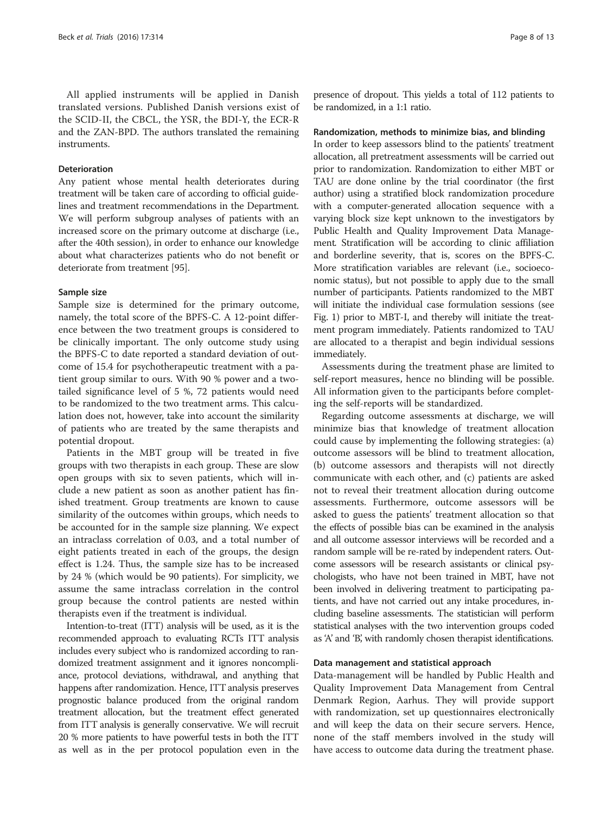All applied instruments will be applied in Danish translated versions. Published Danish versions exist of the SCID-II, the CBCL, the YSR, the BDI-Y, the ECR-R and the ZAN-BPD. The authors translated the remaining instruments.

# Deterioration

Any patient whose mental health deteriorates during treatment will be taken care of according to official guidelines and treatment recommendations in the Department. We will perform subgroup analyses of patients with an increased score on the primary outcome at discharge (i.e., after the 40th session), in order to enhance our knowledge about what characterizes patients who do not benefit or deteriorate from treatment [[95](#page-12-0)].

#### Sample size

Sample size is determined for the primary outcome, namely, the total score of the BPFS-C. A 12-point difference between the two treatment groups is considered to be clinically important. The only outcome study using the BPFS-C to date reported a standard deviation of outcome of 15.4 for psychotherapeutic treatment with a patient group similar to ours. With 90 % power and a twotailed significance level of 5 %, 72 patients would need to be randomized to the two treatment arms. This calculation does not, however, take into account the similarity of patients who are treated by the same therapists and potential dropout.

Patients in the MBT group will be treated in five groups with two therapists in each group. These are slow open groups with six to seven patients, which will include a new patient as soon as another patient has finished treatment. Group treatments are known to cause similarity of the outcomes within groups, which needs to be accounted for in the sample size planning. We expect an intraclass correlation of 0.03, and a total number of eight patients treated in each of the groups, the design effect is 1.24. Thus, the sample size has to be increased by 24 % (which would be 90 patients). For simplicity, we assume the same intraclass correlation in the control group because the control patients are nested within therapists even if the treatment is individual.

Intention-to-treat (ITT) analysis will be used, as it is the recommended approach to evaluating RCTs ITT analysis includes every subject who is randomized according to randomized treatment assignment and it ignores noncompliance, protocol deviations, withdrawal, and anything that happens after randomization. Hence, ITT analysis preserves prognostic balance produced from the original random treatment allocation, but the treatment effect generated from ITT analysis is generally conservative. We will recruit 20 % more patients to have powerful tests in both the ITT as well as in the per protocol population even in the

presence of dropout. This yields a total of 112 patients to be randomized, in a 1:1 ratio.

#### Randomization, methods to minimize bias, and blinding

In order to keep assessors blind to the patients' treatment allocation, all pretreatment assessments will be carried out prior to randomization. Randomization to either MBT or TAU are done online by the trial coordinator (the first author) using a stratified block randomization procedure with a computer-generated allocation sequence with a varying block size kept unknown to the investigators by Public Health and Quality Improvement Data Management. Stratification will be according to clinic affiliation and borderline severity, that is, scores on the BPFS-C. More stratification variables are relevant (i.e., socioeconomic status), but not possible to apply due to the small number of participants. Patients randomized to the MBT will initiate the individual case formulation sessions (see Fig. [1](#page-4-0)) prior to MBT-I, and thereby will initiate the treatment program immediately. Patients randomized to TAU are allocated to a therapist and begin individual sessions immediately.

Assessments during the treatment phase are limited to self-report measures, hence no blinding will be possible. All information given to the participants before completing the self-reports will be standardized.

Regarding outcome assessments at discharge, we will minimize bias that knowledge of treatment allocation could cause by implementing the following strategies: (a) outcome assessors will be blind to treatment allocation, (b) outcome assessors and therapists will not directly communicate with each other, and (c) patients are asked not to reveal their treatment allocation during outcome assessments. Furthermore, outcome assessors will be asked to guess the patients' treatment allocation so that the effects of possible bias can be examined in the analysis and all outcome assessor interviews will be recorded and a random sample will be re-rated by independent raters. Outcome assessors will be research assistants or clinical psychologists, who have not been trained in MBT, have not been involved in delivering treatment to participating patients, and have not carried out any intake procedures, including baseline assessments. The statistician will perform statistical analyses with the two intervention groups coded as 'A' and 'B', with randomly chosen therapist identifications.

### Data management and statistical approach

Data-management will be handled by Public Health and Quality Improvement Data Management from Central Denmark Region, Aarhus. They will provide support with randomization, set up questionnaires electronically and will keep the data on their secure servers. Hence, none of the staff members involved in the study will have access to outcome data during the treatment phase.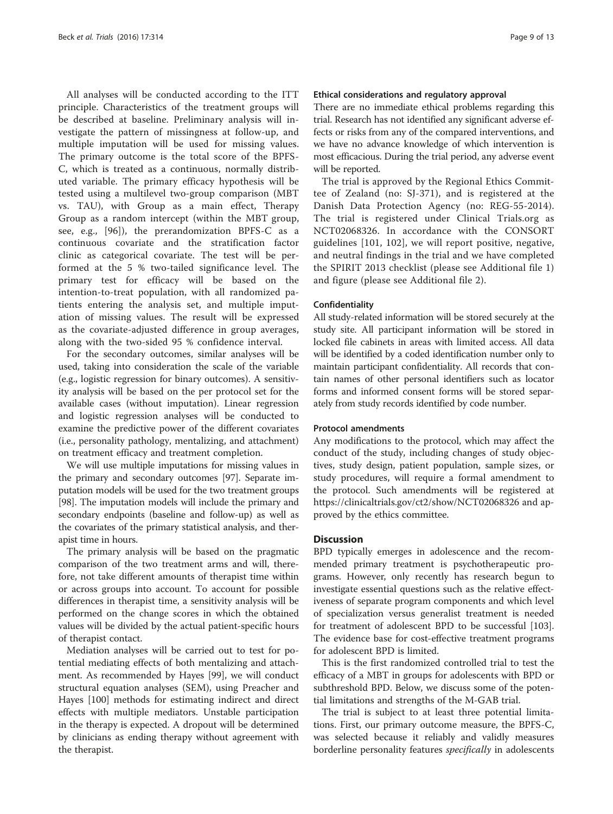All analyses will be conducted according to the ITT principle. Characteristics of the treatment groups will be described at baseline. Preliminary analysis will investigate the pattern of missingness at follow-up, and multiple imputation will be used for missing values. The primary outcome is the total score of the BPFS-C, which is treated as a continuous, normally distributed variable. The primary efficacy hypothesis will be tested using a multilevel two-group comparison (MBT vs. TAU), with Group as a main effect, Therapy Group as a random intercept (within the MBT group, see, e.g., [[96\]](#page-12-0)), the prerandomization BPFS-C as a continuous covariate and the stratification factor clinic as categorical covariate. The test will be performed at the 5 % two-tailed significance level. The primary test for efficacy will be based on the intention-to-treat population, with all randomized patients entering the analysis set, and multiple imputation of missing values. The result will be expressed as the covariate-adjusted difference in group averages, along with the two-sided 95 % confidence interval.

For the secondary outcomes, similar analyses will be used, taking into consideration the scale of the variable (e.g., logistic regression for binary outcomes). A sensitivity analysis will be based on the per protocol set for the available cases (without imputation). Linear regression and logistic regression analyses will be conducted to examine the predictive power of the different covariates (i.e., personality pathology, mentalizing, and attachment) on treatment efficacy and treatment completion.

We will use multiple imputations for missing values in the primary and secondary outcomes [\[97\]](#page-12-0). Separate imputation models will be used for the two treatment groups [[98](#page-12-0)]. The imputation models will include the primary and secondary endpoints (baseline and follow-up) as well as the covariates of the primary statistical analysis, and therapist time in hours.

The primary analysis will be based on the pragmatic comparison of the two treatment arms and will, therefore, not take different amounts of therapist time within or across groups into account. To account for possible differences in therapist time, a sensitivity analysis will be performed on the change scores in which the obtained values will be divided by the actual patient-specific hours of therapist contact.

Mediation analyses will be carried out to test for potential mediating effects of both mentalizing and attachment. As recommended by Hayes [\[99](#page-12-0)], we will conduct structural equation analyses (SEM), using Preacher and Hayes [[100](#page-12-0)] methods for estimating indirect and direct effects with multiple mediators. Unstable participation in the therapy is expected. A dropout will be determined by clinicians as ending therapy without agreement with the therapist.

### Ethical considerations and regulatory approval

There are no immediate ethical problems regarding this trial. Research has not identified any significant adverse effects or risks from any of the compared interventions, and we have no advance knowledge of which intervention is most efficacious. During the trial period, any adverse event will be reported.

The trial is approved by the Regional Ethics Committee of Zealand (no: SJ-371), and is registered at the Danish Data Protection Agency (no: REG-55-2014). The trial is registered under Clinical Trials.org as NCT02068326. In accordance with the CONSORT guidelines [[101](#page-12-0), [102](#page-12-0)], we will report positive, negative, and neutral findings in the trial and we have completed the SPIRIT 2013 checklist (please see Additional file [1](#page-9-0)) and figure (please see Additional file [2](#page-9-0)).

### Confidentiality

All study-related information will be stored securely at the study site. All participant information will be stored in locked file cabinets in areas with limited access. All data will be identified by a coded identification number only to maintain participant confidentiality. All records that contain names of other personal identifiers such as locator forms and informed consent forms will be stored separately from study records identified by code number.

#### Protocol amendments

Any modifications to the protocol, which may affect the conduct of the study, including changes of study objectives, study design, patient population, sample sizes, or study procedures, will require a formal amendment to the protocol. Such amendments will be registered at <https://clinicaltrials.gov/ct2/show/NCT02068326> and approved by the ethics committee.

#### **Discussion**

BPD typically emerges in adolescence and the recommended primary treatment is psychotherapeutic programs. However, only recently has research begun to investigate essential questions such as the relative effectiveness of separate program components and which level of specialization versus generalist treatment is needed for treatment of adolescent BPD to be successful [[103](#page-12-0)]. The evidence base for cost-effective treatment programs for adolescent BPD is limited.

This is the first randomized controlled trial to test the efficacy of a MBT in groups for adolescents with BPD or subthreshold BPD. Below, we discuss some of the potential limitations and strengths of the M-GAB trial.

The trial is subject to at least three potential limitations. First, our primary outcome measure, the BPFS-C, was selected because it reliably and validly measures borderline personality features specifically in adolescents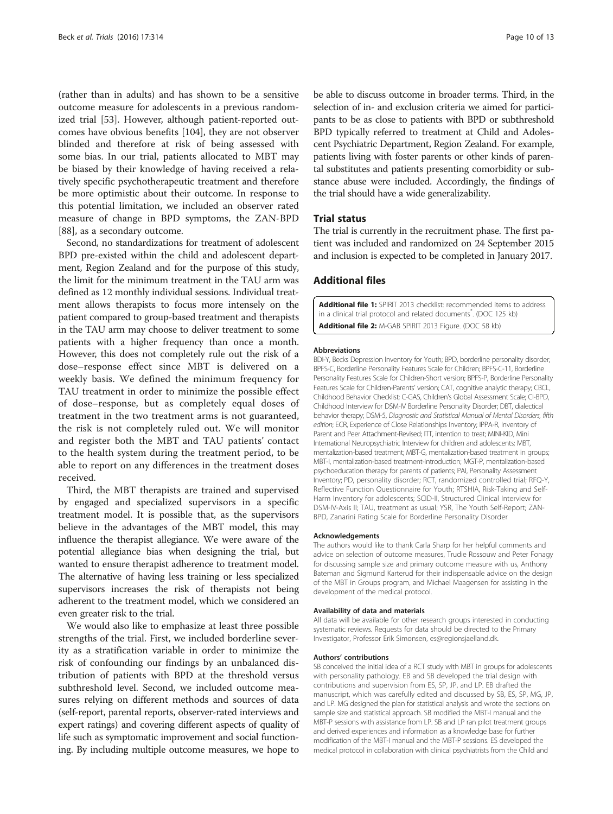<span id="page-9-0"></span>(rather than in adults) and has shown to be a sensitive outcome measure for adolescents in a previous randomized trial [\[53\]](#page-11-0). However, although patient-reported outcomes have obvious benefits [[104\]](#page-12-0), they are not observer blinded and therefore at risk of being assessed with some bias. In our trial, patients allocated to MBT may be biased by their knowledge of having received a relatively specific psychotherapeutic treatment and therefore be more optimistic about their outcome. In response to this potential limitation, we included an observer rated measure of change in BPD symptoms, the ZAN-BPD [[88\]](#page-12-0), as a secondary outcome.

Second, no standardizations for treatment of adolescent BPD pre-existed within the child and adolescent department, Region Zealand and for the purpose of this study, the limit for the minimum treatment in the TAU arm was defined as 12 monthly individual sessions. Individual treatment allows therapists to focus more intensely on the patient compared to group-based treatment and therapists in the TAU arm may choose to deliver treatment to some patients with a higher frequency than once a month. However, this does not completely rule out the risk of a dose–response effect since MBT is delivered on a weekly basis. We defined the minimum frequency for TAU treatment in order to minimize the possible effect of dose–response, but as completely equal doses of treatment in the two treatment arms is not guaranteed, the risk is not completely ruled out. We will monitor and register both the MBT and TAU patients' contact to the health system during the treatment period, to be able to report on any differences in the treatment doses received.

Third, the MBT therapists are trained and supervised by engaged and specialized supervisors in a specific treatment model. It is possible that, as the supervisors believe in the advantages of the MBT model, this may influence the therapist allegiance. We were aware of the potential allegiance bias when designing the trial, but wanted to ensure therapist adherence to treatment model. The alternative of having less training or less specialized supervisors increases the risk of therapists not being adherent to the treatment model, which we considered an even greater risk to the trial.

We would also like to emphasize at least three possible strengths of the trial. First, we included borderline severity as a stratification variable in order to minimize the risk of confounding our findings by an unbalanced distribution of patients with BPD at the threshold versus subthreshold level. Second, we included outcome measures relying on different methods and sources of data (self-report, parental reports, observer-rated interviews and expert ratings) and covering different aspects of quality of life such as symptomatic improvement and social functioning. By including multiple outcome measures, we hope to

be able to discuss outcome in broader terms. Third, in the selection of in- and exclusion criteria we aimed for participants to be as close to patients with BPD or subthreshold BPD typically referred to treatment at Child and Adolescent Psychiatric Department, Region Zealand. For example, patients living with foster parents or other kinds of parental substitutes and patients presenting comorbidity or substance abuse were included. Accordingly, the findings of the trial should have a wide generalizability.

## Trial status

The trial is currently in the recruitment phase. The first patient was included and randomized on 24 September 2015 and inclusion is expected to be completed in January 2017.

## Additional files

[Additional file 1:](dx.doi.org/10.1186/s13063-016-1431-0) SPIRIT 2013 checklist: recommended items to address in a clinical trial protocol and related documents<sup>\*</sup>. (DOC 125 kb) [Additional file 2:](dx.doi.org/10.1186/s13063-016-1431-0) M-GAB SPIRIT 2013 Figure. (DOC 58 kb)

#### Abbreviations

BDI-Y, Becks Depression Inventory for Youth; BPD, borderline personality disorder; BPFS-C, Borderline Personality Features Scale for Children; BPFS-C-11, Borderline Personality Features Scale for Children-Short version; BPFS-P, Borderline Personality Features Scale for Children-Parents' version; CAT, cognitive analytic therapy; CBCL, Childhood Behavior Checklist; C-GAS, Children's Global Assessment Scale; CI-BPD, Childhood Interview for DSM-IV Borderline Personality Disorder; DBT, dialectical behavior therapy; DSM-5, Diagnostic and Statistical Manual of Mental Disorders, fifth edition; ECR, Experience of Close Relationships Inventory; IPPA-R, Inventory of Parent and Peer Attachment-Revised; ITT, intention to treat; MINI-KID, Mini International Neuropsychiatric Interview for children and adolescents; MBT, mentalization-based treatment; MBT-G, mentalization-based treatment in groups; MBT-I, mentalization-based treatment-introduction; MGT-P, mentalization-based psychoeducation therapy for parents of patients; PAI, Personality Assessment Inventory; PD, personality disorder; RCT, randomized controlled trial; RFQ-Y, Reflective Function Questionnaire for Youth; RTSHIA, Risk-Taking and Self-Harm Inventory for adolescents; SCID-II, Structured Clinical Interview for DSM-IV-Axis II; TAU, treatment as usual; YSR, The Youth Self-Report; ZAN-BPD, Zanarini Rating Scale for Borderline Personality Disorder

#### Acknowledgements

The authors would like to thank Carla Sharp for her helpful comments and advice on selection of outcome measures, Trudie Rossouw and Peter Fonagy for discussing sample size and primary outcome measure with us, Anthony Bateman and Sigmund Karterud for their indispensable advice on the design of the MBT in Groups program, and Michael Maagensen for assisting in the development of the medical protocol.

#### Availability of data and materials

All data will be available for other research groups interested in conducting systematic reviews. Requests for data should be directed to the Primary Investigator, Professor Erik Simonsen, es@regionsjaelland.dk.

#### Authors' contributions

SB conceived the initial idea of a RCT study with MBT in groups for adolescents with personality pathology. EB and SB developed the trial design with contributions and supervision from ES, SP, JP, and LP. EB drafted the manuscript, which was carefully edited and discussed by SB, ES, SP, MG, JP, and LP. MG designed the plan for statistical analysis and wrote the sections on sample size and statistical approach. SB modified the MBT-I manual and the MBT-P sessions with assistance from LP. SB and LP ran pilot treatment groups and derived experiences and information as a knowledge base for further modification of the MBT-I manual and the MBT-P sessions. ES developed the medical protocol in collaboration with clinical psychiatrists from the Child and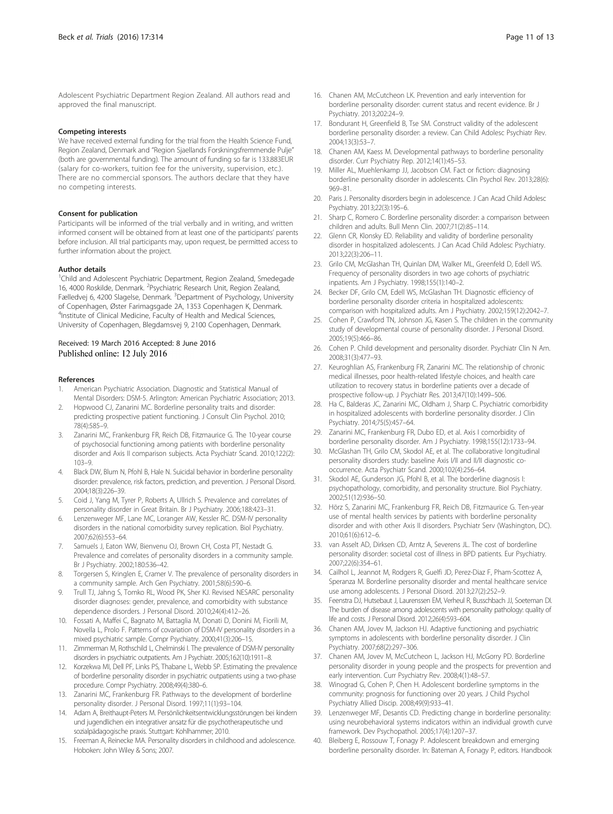<span id="page-10-0"></span>Adolescent Psychiatric Department Region Zealand. All authors read and approved the final manuscript.

#### Competing interests

We have received external funding for the trial from the Health Science Fund, Region Zealand, Denmark and "Region Sjaellands Forskningsfremmende Pulje" (both are governmental funding). The amount of funding so far is 133.883EUR (salary for co-workers, tuition fee for the university, supervision, etc.). There are no commercial sponsors. The authors declare that they have no competing interests.

#### Consent for publication

Participants will be informed of the trial verbally and in writing, and written informed consent will be obtained from at least one of the participants' parents before inclusion. All trial participants may, upon request, be permitted access to further information about the project.

### Author details

<sup>1</sup>Child and Adolescent Psychiatric Department, Region Zealand, Smedegade 16, 4000 Roskilde, Denmark. <sup>2</sup>Psychiatric Research Unit, Region Zealand, Fælledvej 6, 4200 Slagelse, Denmark. <sup>3</sup>Department of Psychology, University of Copenhagen, Øster Farimagsgade 2A, 1353 Copenhagen K, Denmark. 4 Institute of Clinical Medicine, Faculty of Health and Medical Sciences, University of Copenhagen, Blegdamsvej 9, 2100 Copenhagen, Denmark.

# Received: 19 March 2016 Accepted: 8 June 2016<br>Published online: 12 July 2016

#### References

- 1. American Psychiatric Association. Diagnostic and Statistical Manual of Mental Disorders: DSM-5. Arlington: American Psychiatric Association; 2013.
- 2. Hopwood CJ, Zanarini MC. Borderline personality traits and disorder: predicting prospective patient functioning. J Consult Clin Psychol. 2010; 78(4):585–9.
- 3. Zanarini MC, Frankenburg FR, Reich DB, Fitzmaurice G. The 10-year course of psychosocial functioning among patients with borderline personality disorder and Axis II comparison subjects. Acta Psychiatr Scand. 2010;122(2): 103–9.
- Black DW, Blum N, Pfohl B, Hale N. Suicidal behavior in borderline personality disorder: prevalence, risk factors, prediction, and prevention. J Personal Disord. 2004;18(3):226–39.
- 5. Coid J, Yang M, Tyrer P, Roberts A, Ullrich S. Prevalence and correlates of personality disorder in Great Britain. Br J Psychiatry. 2006;188:423–31.
- 6. Lenzenweger MF, Lane MC, Loranger AW, Kessler RC. DSM-IV personality disorders in the national comorbidity survey replication. Biol Psychiatry. 2007;62(6):553–64.
- 7. Samuels J, Eaton WW, Bienvenu OJ, Brown CH, Costa PT, Nestadt G. Prevalence and correlates of personality disorders in a community sample. Br J Psychiatry. 2002;180:536–42.
- 8. Torgersen S, Kringlen E, Cramer V. The prevalence of personality disorders in a community sample. Arch Gen Psychiatry. 2001;58(6):590–6.
- 9. Trull TJ, Jahng S, Tomko RL, Wood PK, Sher KJ. Revised NESARC personality disorder diagnoses: gender, prevalence, and comorbidity with substance dependence disorders. J Personal Disord. 2010;24(4):412–26.
- 10. Fossati A, Maffei C, Bagnato M, Battaglia M, Donati D, Donini M, Fiorili M, Novella L, Prolo F. Patterns of covariation of DSM-IV personality disorders in a mixed psychiatric sample. Compr Psychiatry. 2000;41(3):206–15.
- 11. Zimmerman M, Rothschild L, Chelminski I. The prevalence of DSM-IV personality disorders in psychiatric outpatients. Am J Psychiatr. 2005;162(10):1911–8.
- 12. Korzekwa MI, Dell PF, Links PS, Thabane L, Webb SP. Estimating the prevalence of borderline personality disorder in psychiatric outpatients using a two-phase procedure. Compr Psychiatry. 2008;49(4):380–6.
- 13. Zanarini MC, Frankenburg FR. Pathways to the development of borderline personality disorder. J Personal Disord. 1997;11(1):93–104.
- 14. Adam A, Breithaupt-Peters M. Persönlichkeitsentwicklungsstörungen bei kindern und jugendlichen ein integrativer ansatz für die psychotherapeutische und sozialpädagogische praxis. Stuttgart: Kohlhammer; 2010.
- 15. Freeman A, Reinecke MA. Personality disorders in childhood and adolescence. Hoboken: John Wiley & Sons; 2007.
- 16. Chanen AM, McCutcheon LK. Prevention and early intervention for borderline personality disorder: current status and recent evidence. Br J Psychiatry. 2013;202:24–9.
- 17. Bondurant H, Greenfield B, Tse SM. Construct validity of the adolescent borderline personality disorder: a review. Can Child Adolesc Psychiatr Rev. 2004;13(3):53–7.
- 18. Chanen AM, Kaess M. Developmental pathways to borderline personality disorder. Curr Psychiatry Rep. 2012;14(1):45–53.
- 19. Miller AL, Muehlenkamp JJ, Jacobson CM. Fact or fiction: diagnosing borderline personality disorder in adolescents. Clin Psychol Rev. 2013;28(6): 969–81.
- 20. Paris J. Personality disorders begin in adolescence. J Can Acad Child Adolesc Psychiatry. 2013;22(3):195–6.
- 21. Sharp C, Romero C. Borderline personality disorder: a comparison between children and adults. Bull Menn Clin. 2007;71(2):85–114.
- 22. Glenn CR, Klonsky ED. Reliability and validity of borderline personality disorder in hospitalized adolescents. J Can Acad Child Adolesc Psychiatry. 2013;22(3):206–11.
- 23. Grilo CM, McGlashan TH, Quinlan DM, Walker ML, Greenfeld D, Edell WS. Frequency of personality disorders in two age cohorts of psychiatric inpatients. Am J Psychiatry. 1998;155(1):140–2.
- 24. Becker DF, Grilo CM, Edell WS, McGlashan TH. Diagnostic efficiency of borderline personality disorder criteria in hospitalized adolescents: comparison with hospitalized adults. Am J Psychiatry. 2002;159(12):2042–7.
- 25. Cohen P, Crawford TN, Johnson JG, Kasen S. The children in the community study of developmental course of personality disorder. J Personal Disord. 2005;19(5):466–86.
- 26. Cohen P. Child development and personality disorder. Psychiatr Clin N Am. 2008;31(3):477–93.
- 27. Keuroghlian AS, Frankenburg FR, Zanarini MC. The relationship of chronic medical illnesses, poor health-related lifestyle choices, and health care utilization to recovery status in borderline patients over a decade of prospective follow-up. J Psychiatr Res. 2013;47(10):1499–506.
- 28. Ha C, Balderas JC, Zanarini MC, Oldham J, Sharp C. Psychiatric comorbidity in hospitalized adolescents with borderline personality disorder. J Clin Psychiatry. 2014;75(5):457–64.
- 29. Zanarini MC, Frankenburg FR, Dubo ED, et al. Axis I comorbidity of borderline personality disorder. Am J Psychiatry. 1998;155(12):1733–94.
- 30. McGlashan TH, Grilo CM, Skodol AE, et al. The collaborative longitudinal personality disorders study: baseline Axis I/II and II/II diagnostic cooccurrence. Acta Psychiatr Scand. 2000;102(4):256–64.
- 31. Skodol AE, Gunderson JG, Pfohl B, et al. The borderline diagnosis I: psychopathology, comorbidity, and personality structure. Biol Psychiatry. 2002;51(12):936–50.
- 32. Hörz S, Zanarini MC, Frankenburg FR, Reich DB, Fitzmaurice G. Ten-year use of mental health services by patients with borderline personality disorder and with other Axis II disorders. Psychiatr Serv (Washington, DC). 2010;61(6):612–6.
- 33. van Asselt AD, Dirksen CD, Arntz A, Severens JL. The cost of borderline personality disorder: societal cost of illness in BPD patients. Eur Psychiatry. 2007;22(6):354–61.
- 34. Cailhol L, Jeannot M, Rodgers R, Guelfi JD, Perez-Diaz F, Pham-Scottez A, Speranza M. Borderline personality disorder and mental healthcare service use among adolescents. J Personal Disord. 2013;27(2):252–9.
- 35. Feenstra DJ, Hutsebaut J, Laurenssen EM, Verheul R, Busschbach JJ, Soeteman DI. The burden of disease among adolescents with personality pathology: quality of life and costs. J Personal Disord. 2012;26(4):593–604.
- 36. Chanen AM, Jovev M, Jackson HJ. Adaptive functioning and psychiatric symptoms in adolescents with borderline personality disorder. J Clin Psychiatry. 2007;68(2):297–306.
- 37. Chanen AM, Jovev M, McCutcheon L, Jackson HJ, McGorry PD. Borderline personality disorder in young people and the prospects for prevention and early intervention. Curr Psychiatry Rev. 2008;4(1):48–57.
- 38. Winograd G, Cohen P, Chen H. Adolescent borderline symptoms in the community: prognosis for functioning over 20 years. J Child Psychol Psychiatry Allied Discip. 2008;49(9):933–41.
- 39. Lenzenweger MF, Desantis CD. Predicting change in borderline personality: using neurobehavioral systems indicators within an individual growth curve framework. Dev Psychopathol. 2005;17(4):1207–37.
- 40. Bleiberg E, Rossouw T, Fonagy P. Adolescent breakdown and emerging borderline personality disorder. In: Bateman A, Fonagy P, editors. Handbook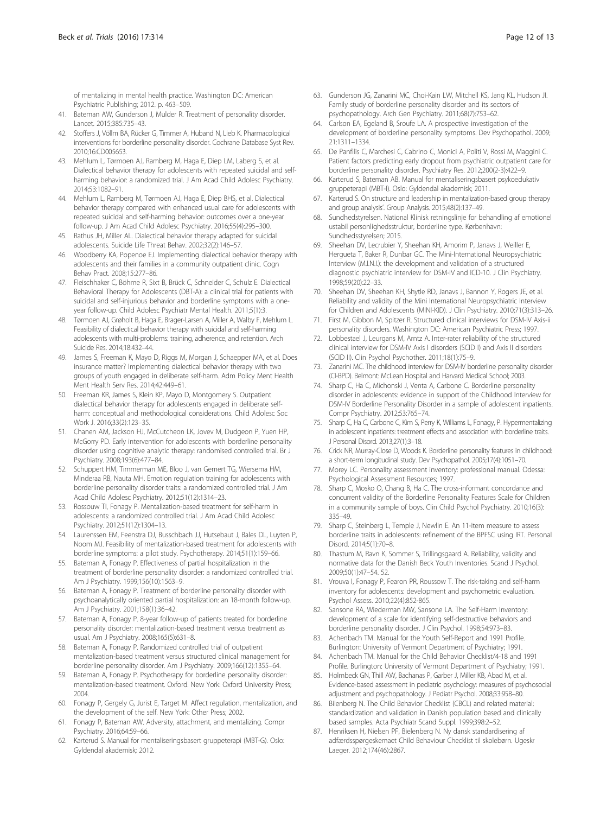<span id="page-11-0"></span>of mentalizing in mental health practice. Washington DC: American Psychiatric Publishing; 2012. p. 463–509.

- 41. Bateman AW, Gunderson J, Mulder R. Treatment of personality disorder. Lancet. 2015;385:735–43.
- 42. Stoffers J, Völlm BA, Rücker G, Timmer A, Huband N, Lieb K. Pharmacological interventions for borderline personality disorder. Cochrane Database Syst Rev. 2010;16:CD005653.
- 43. Mehlum L, Tørmoen AJ, Ramberg M, Haga E, Diep LM, Laberg S, et al. Dialectical behavior therapy for adolescents with repeated suicidal and selfharming behavior: a randomized trial. J Am Acad Child Adolesc Psychiatry. 2014;53:1082–91.
- 44. Mehlum L, Ramberg M, Tørmoen AJ, Haga E, Diep BHS, et al. Dialectical behavior therapy compared with enhanced usual care for adolescents with repeated suicidal and self-harming behavior: outcomes over a one-year follow-up. J Am Acad Child Adolesc Psychiatry. 2016;55(4):295–300.
- 45. Rathus JH, Miller AL. Dialectical behavior therapy adapted for suicidal adolescents. Suicide Life Threat Behav. 2002;32(2):146–57.
- 46. Woodberry KA, Popenoe EJ. Implementing dialectical behavior therapy with adolescents and their families in a community outpatient clinic. Cogn Behav Pract. 2008;15:277–86.
- 47. Fleischhaker C, Böhme R, Sixt B, Brück C, Schneider C, Schulz E. Dialectical Behavioral Therapy for Adolescents (DBT-A): a clinical trial for patients with suicidal and self-injurious behavior and borderline symptoms with a oneyear follow-up. Child Adolesc Psychiatr Mental Health. 2011;5(1):3.
- 48. Tørmoen AJ, Grøholt B, Haga E, Brager-Larsen A, Miller A, Walby F, Mehlum L. Feasibility of dialectical behavior therapy with suicidal and self-harming adolescents with multi-problems: training, adherence, and retention. Arch Suicide Res. 2014;18:432–44.
- 49. James S, Freeman K, Mayo D, Riggs M, Morgan J, Schaepper MA, et al. Does insurance matter? Implementing dialectical behavior therapy with two groups of youth engaged in deliberate self-harm. Adm Policy Ment Health Ment Health Serv Res. 2014;42:449–61.
- 50. Freeman KR, James S, Klein KP, Mayo D, Montgomery S. Outpatient dialectical behavior therapy for adolescents engaged in deliberate selfharm: conceptual and methodological considerations. Child Adolesc Soc Work J. 2016;33(2):123–35.
- 51. Chanen AM, Jackson HJ, McCutcheon LK, Jovev M, Dudgeon P, Yuen HP, McGorry PD. Early intervention for adolescents with borderline personality disorder using cognitive analytic therapy: randomised controlled trial. Br J Psychiatry. 2008;193(6):477–84.
- 52. Schuppert HM, Timmerman ME, Bloo J, van Gemert TG, Wiersema HM, Minderaa RB, Nauta MH. Emotion regulation training for adolescents with borderline personality disorder traits: a randomized controlled trial. J Am Acad Child Adolesc Psychiatry. 2012;51(12):1314–23.
- 53. Rossouw TI, Fonagy P. Mentalization-based treatment for self-harm in adolescents: a randomized controlled trial. J Am Acad Child Adolesc Psychiatry. 2012;51(12):1304–13.
- 54. Laurenssen EM, Feenstra DJ, Busschbach JJ, Hutsebaut J, Bales DL, Luyten P, Noom MJ. Feasibility of mentalization-based treatment for adolescents with borderline symptoms: a pilot study. Psychotherapy. 2014;51(1):159–66.
- 55. Bateman A, Fonagy P. Effectiveness of partial hospitalization in the treatment of borderline personality disorder: a randomized controlled trial. Am J Psychiatry. 1999;156(10):1563–9.
- 56. Bateman A, Fonagy P. Treatment of borderline personality disorder with psychoanalytically oriented partial hospitalization: an 18-month follow-up. Am J Psychiatry. 2001;158(1):36–42.
- 57. Bateman A, Fonagy P. 8-year follow-up of patients treated for borderline personality disorder: mentalization-based treatment versus treatment as usual. Am J Psychiatry. 2008;165(5):631–8.
- 58. Bateman A, Fonagy P. Randomized controlled trial of outpatient mentalization-based treatment versus structured clinical management for borderline personality disorder. Am J Psychiatry. 2009;166(12):1355–64.
- 59. Bateman A, Fonagy P. Psychotherapy for borderline personality disorder: mentalization-based treatment. Oxford. New York: Oxford University Press; 2004.
- 60. Fonagy P, Gergely G, Jurist E, Target M. Affect regulation, mentalization, and the development of the self. New York: Other Press; 2002.
- 61. Fonagy P, Bateman AW. Adversity, attachment, and mentalizing. Compr Psychiatry. 2016;64:59–66.
- 62. Karterud S. Manual for mentaliseringsbasert gruppeterapi (MBT-G). Oslo: Gyldendal akademisk; 2012.
- 63. Gunderson JG, Zanarini MC, Choi-Kain LW, Mitchell KS, Jang KL, Hudson JI. Family study of borderline personality disorder and its sectors of psychopathology. Arch Gen Psychiatry. 2011;68(7):753–62.
- 64. Carlson EA, Egeland B, Sroufe LA. A prospective investigation of the development of borderline personality symptoms. Dev Psychopathol. 2009; 21:1311–1334.
- 65. De Panfilis C, Marchesi C, Cabrino C, Monici A, Politi V, Rossi M, Maggini C. Patient factors predicting early dropout from psychiatric outpatient care for borderline personality disorder. Psychiatry Res. 2012;200(2-3):422–9.
- 66. Karterud S, Bateman AB. Manual for mentaliseringsbasert psykoedukativ gruppeterapi (MBT-I). Oslo: Gyldendal akademisk; 2011.
- 67. Karterud S. On structure and leadership in mentalization-based group therapy and group analysis'. Group Analysis. 2015;48(2):137–49.
- 68. Sundhedstyrelsen. National Klinisk retningslinje for behandling af emotionel ustabil personlighedsstruktur, borderline type. Kørbenhavn: Sundhedsstyrelsen; 2015.
- 69. Sheehan DV, Lecrubier Y, Sheehan KH, Amorim P, Janavs J, Weiller E, Hergueta T, Baker R, Dunbar GC. The Mini-International Neuropsychiatric Interview (M.I.N.I.): the development and validation of a structured diagnostic psychiatric interview for DSM-IV and ICD-10. J Clin Psychiatry. 1998;59(20):22–33.
- 70. Sheehan DV, Sheehan KH, Shytle RD, Janavs J, Bannon Y, Rogers JE, et al. Reliability and validity of the Mini International Neuropsychiatric Interview for Children and Adolescents (MINI-KID). J Clin Psychiatry. 2010;71(3):313–26.
- 71. First M, Gibbon M, Spitzer R. Structured clinical interviews for DSM-IV Axis-ii personality disorders. Washington DC: American Psychiatric Press; 1997.
- 72. Lobbestael J, Leurgans M, Arntz A. Inter-rater reliability of the structured clinical interview for DSM-IV Axis I disorders (SCID I) and Axis II disorders (SCID II). Clin Psychol Psychother. 2011;18(1):75–9.
- 73. Zanarini MC. The childhood interview for DSM-IV borderline personality disorder (CI-BPD). Belmont: McLean Hospital and Harvard Medical School; 2003.
- 74. Sharp C, Ha C, Michonski J, Venta A, Carbone C. Borderline personality disorder in adolescents: evidence in support of the Childhood Interview for DSM-IV Borderline Personality Disorder in a sample of adolescent inpatients. Compr Psychiatry. 2012;53:765–74.
- 75. Sharp C, Ha C, Carbone C, Kim S, Perry K, Williams L, Fonagy, P. Hypermentalizing in adolescent inpatients: treatment effects and association with borderline traits. J Personal Disord. 2013;27(1):3–18.
- 76. Crick NR, Murray-Close D, Woods K. Borderline personality features in childhood: a short-term longitudinal study. Dev Psychopathol. 2005;17(4):1051–70.
- 77. Morey LC. Personality assessment inventory: professional manual. Odessa: Psychological Assessment Resources; 1997.
- 78. Sharp C, Mosko O, Chang B, Ha C. The cross-informant concordance and concurrent validity of the Borderline Personality Features Scale for Children in a community sample of boys. Clin Child Psychol Psychiatry. 2010;16(3): 335–49.
- 79. Sharp C, Steinberg L, Temple J, Newlin E. An 11-item measure to assess borderline traits in adolescents: refinement of the BPFSC using IRT. Personal Disord. 2014;5(1):70–8.
- 80. Thastum M, Ravn K, Sommer S, Trillingsgaard A. Reliability, validity and normative data for the Danish Beck Youth Inventories. Scand J Psychol. 2009;50(1):47–54. 52.
- 81. Vrouva I, Fonagy P, Fearon PR, Roussow T. The risk-taking and self-harm inventory for adolescents: development and psychometric evaluation. Psychol Assess. 2010;22(4):852-865.
- 82. Sansone RA, Wiederman MW, Sansone LA. The Self-Harm Inventory: development of a scale for identifying self-destructive behaviors and borderline personality disorder. J Clin Psychol. 1998;54:973–83.
- 83. Achenbach TM. Manual for the Youth Self-Report and 1991 Profile. Burlington: University of Vermont Department of Psychiatry; 1991.
- 84. Achenbach TM. Manual for the Child Behavior Checklist/4-18 and 1991 Profile. Burlington: University of Vermont Department of Psychiatry; 1991.
- 85. Holmbeck GN, Thill AW, Bachanas P, Garber J, Miller KB, Abad M, et al. Evidence-based assessment in pediatric psychology: measures of psychosocial adjustment and psychopathology. J Pediatr Psychol. 2008;33:958–80.
- 86. Bilenberg N. The Child Behavior Checklist (CBCL) and related material: standardization and validation in Danish population based and clinically based samples. Acta Psychiatr Scand Suppl. 1999;398:2–52.
- 87. Henriksen H, Nielsen PF, Bielenberg N. Ny dansk standardisering af adfærdsspørgeskemaet Child Behaviour Checklist til skolebørn. Ugeskr Laeger. 2012;174(46):2867.